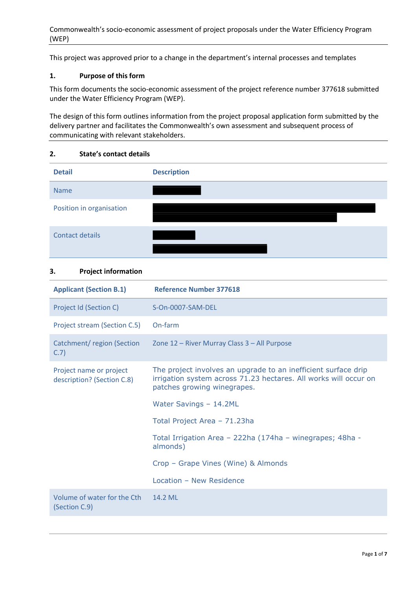Commonwealth's socio-economic assessment of project proposals under the Water Efficiency Program (WEP)

This project was approved prior to a change in the department's internal processes and templates

### **1. Purpose of this form**

This form documents the socio-economic assessment of the project reference number 377618 submitted under the Water Efficiency Program (WEP).

The design of this form outlines information from the project proposal application form submitted by the delivery partner and facilitates the Commonwealth's own assessment and subsequent process of communicating with relevant stakeholders.

#### **2. State's contact details**



#### **3. Project information**

| <b>Applicant (Section B.1)</b>                        | <b>Reference Number 377618</b>                                                                                                                                    |
|-------------------------------------------------------|-------------------------------------------------------------------------------------------------------------------------------------------------------------------|
| Project Id (Section C)                                | S-On-0007-SAM-DEL                                                                                                                                                 |
| Project stream (Section C.5)                          | On-farm                                                                                                                                                           |
| Catchment/region (Section<br>C.7)                     | Zone 12 - River Murray Class 3 - All Purpose                                                                                                                      |
| Project name or project<br>description? (Section C.8) | The project involves an upgrade to an inefficient surface drip<br>irrigation system across 71.23 hectares. All works will occur on<br>patches growing winegrapes. |
|                                                       | Water Savings - 14.2ML                                                                                                                                            |
|                                                       | Total Project Area - 71.23ha                                                                                                                                      |
|                                                       | Total Irrigation Area - 222ha (174ha - winegrapes; 48ha -<br>almonds)                                                                                             |
|                                                       | Crop - Grape Vines (Wine) & Almonds                                                                                                                               |
|                                                       | Location - New Residence                                                                                                                                          |
| Volume of water for the Cth<br>(Section C.9)          | 14.2 ML                                                                                                                                                           |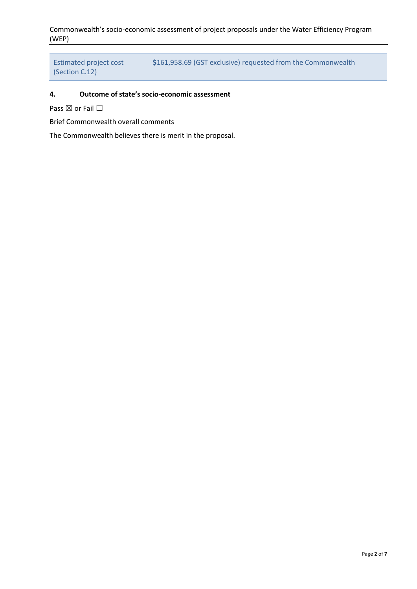Commonwealth's socio-economic assessment of project proposals under the Water Efficiency Program (WEP)

```
Estimated project cost 
(Section C.12)
                              $161,958.69 (GST exclusive) requested from the Commonwealth
```
# **4. Outcome of state's socio-economic assessment**

Pass ⊠ or Fail □

Brief Commonwealth overall comments

The Commonwealth believes there is merit in the proposal.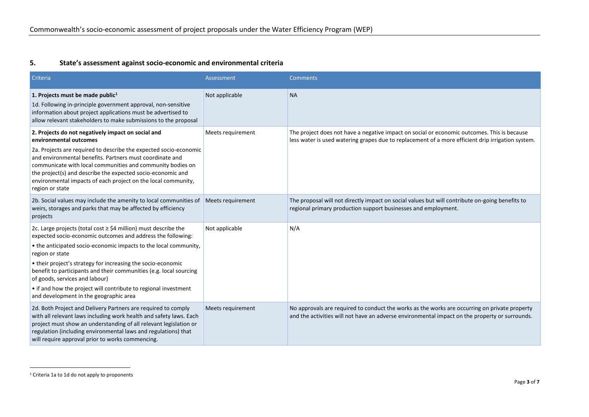## **5. State's assessment against socio-economic and environmental criteria**

| Criteria                                                                                                                                                                                                                                                                                                                                                                                                                                                                                                        | Assessment        | <b>Comments</b>                                                                                                                                                                                  |
|-----------------------------------------------------------------------------------------------------------------------------------------------------------------------------------------------------------------------------------------------------------------------------------------------------------------------------------------------------------------------------------------------------------------------------------------------------------------------------------------------------------------|-------------------|--------------------------------------------------------------------------------------------------------------------------------------------------------------------------------------------------|
| 1. Projects must be made public <sup>1</sup><br>1d. Following in-principle government approval, non-sensitive<br>information about project applications must be advertised to<br>allow relevant stakeholders to make submissions to the proposal                                                                                                                                                                                                                                                                | Not applicable    | <b>NA</b>                                                                                                                                                                                        |
| 2. Projects do not negatively impact on social and<br>environmental outcomes<br>2a. Projects are required to describe the expected socio-economic<br>and environmental benefits. Partners must coordinate and<br>communicate with local communities and community bodies on<br>the project(s) and describe the expected socio-economic and<br>environmental impacts of each project on the local community,<br>region or state                                                                                  | Meets requirement | The project does not have a negative impact on social or economic outcomes. This is because<br>less water is used watering grapes due to replacement of a more efficient drip irrigation system. |
| 2b. Social values may include the amenity to local communities of<br>weirs, storages and parks that may be affected by efficiency<br>projects                                                                                                                                                                                                                                                                                                                                                                   | Meets requirement | The proposal will not directly impact on social values but will contribute on-going benefits to<br>regional primary production support businesses and employment.                                |
| 2c. Large projects (total cost $\geq$ \$4 million) must describe the<br>expected socio-economic outcomes and address the following:<br>• the anticipated socio-economic impacts to the local community,<br>region or state<br>• their project's strategy for increasing the socio-economic<br>benefit to participants and their communities (e.g. local sourcing<br>of goods, services and labour)<br>• if and how the project will contribute to regional investment<br>and development in the geographic area | Not applicable    | N/A                                                                                                                                                                                              |
| 2d. Both Project and Delivery Partners are required to comply<br>with all relevant laws including work health and safety laws. Each<br>project must show an understanding of all relevant legislation or<br>regulation (including environmental laws and regulations) that<br>will require approval prior to works commencing.                                                                                                                                                                                  | Meets requirement | No approvals are required to conduct the works as the works are occurring on private property<br>and the activities will not have an adverse environmental impact on the property or surrounds.  |

<sup>&</sup>lt;sup>1</sup> Criteria 1a to 1d do not apply to proponents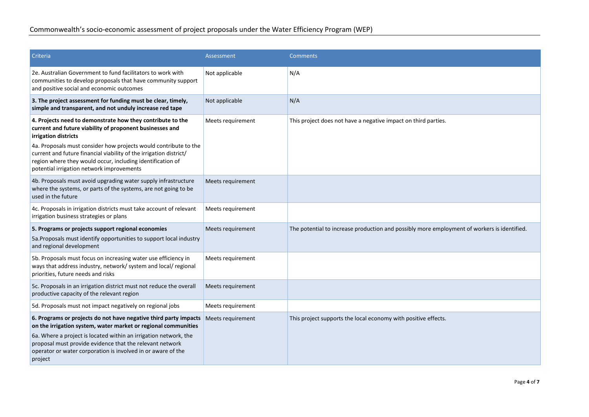| Criteria                                                                                                                                                                                                                                                                                                                                      | Assessment        | <b>Comments</b>                                                                             |
|-----------------------------------------------------------------------------------------------------------------------------------------------------------------------------------------------------------------------------------------------------------------------------------------------------------------------------------------------|-------------------|---------------------------------------------------------------------------------------------|
| 2e. Australian Government to fund facilitators to work with<br>communities to develop proposals that have community support<br>and positive social and economic outcomes                                                                                                                                                                      | Not applicable    | N/A                                                                                         |
| 3. The project assessment for funding must be clear, timely,<br>simple and transparent, and not unduly increase red tape                                                                                                                                                                                                                      | Not applicable    | N/A                                                                                         |
| 4. Projects need to demonstrate how they contribute to the<br>current and future viability of proponent businesses and<br>irrigation districts                                                                                                                                                                                                | Meets requirement | This project does not have a negative impact on third parties.                              |
| 4a. Proposals must consider how projects would contribute to the<br>current and future financial viability of the irrigation district/<br>region where they would occur, including identification of<br>potential irrigation network improvements                                                                                             |                   |                                                                                             |
| 4b. Proposals must avoid upgrading water supply infrastructure<br>where the systems, or parts of the systems, are not going to be<br>used in the future                                                                                                                                                                                       | Meets requirement |                                                                                             |
| 4c. Proposals in irrigation districts must take account of relevant<br>irrigation business strategies or plans                                                                                                                                                                                                                                | Meets requirement |                                                                                             |
| 5. Programs or projects support regional economies                                                                                                                                                                                                                                                                                            | Meets requirement | The potential to increase production and possibly more employment of workers is identified. |
| 5a. Proposals must identify opportunities to support local industry<br>and regional development                                                                                                                                                                                                                                               |                   |                                                                                             |
| 5b. Proposals must focus on increasing water use efficiency in<br>ways that address industry, network/ system and local/ regional<br>priorities, future needs and risks                                                                                                                                                                       | Meets requirement |                                                                                             |
| 5c. Proposals in an irrigation district must not reduce the overall<br>productive capacity of the relevant region                                                                                                                                                                                                                             | Meets requirement |                                                                                             |
| 5d. Proposals must not impact negatively on regional jobs                                                                                                                                                                                                                                                                                     | Meets requirement |                                                                                             |
| 6. Programs or projects do not have negative third party impacts<br>on the irrigation system, water market or regional communities<br>6a. Where a project is located within an irrigation network, the<br>proposal must provide evidence that the relevant network<br>operator or water corporation is involved in or aware of the<br>project | Meets requirement | This project supports the local economy with positive effects.                              |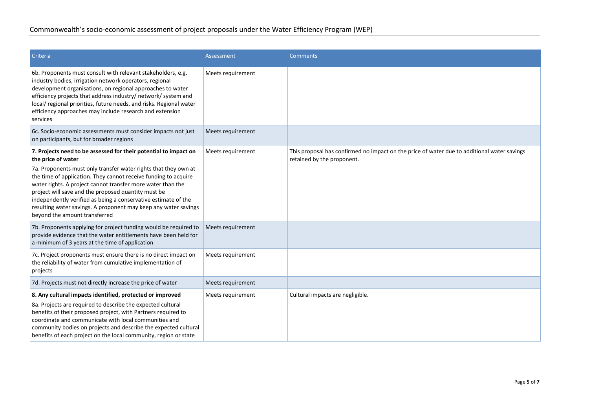| Criteria                                                                                                                                                                                                                                                                                                                                                                                                                                                                                                                 | <b>Assessment</b> | <b>Comments</b>                                                                                                           |
|--------------------------------------------------------------------------------------------------------------------------------------------------------------------------------------------------------------------------------------------------------------------------------------------------------------------------------------------------------------------------------------------------------------------------------------------------------------------------------------------------------------------------|-------------------|---------------------------------------------------------------------------------------------------------------------------|
| 6b. Proponents must consult with relevant stakeholders, e.g.<br>industry bodies, irrigation network operators, regional<br>development organisations, on regional approaches to water<br>efficiency projects that address industry/ network/ system and<br>local/regional priorities, future needs, and risks. Regional water<br>efficiency approaches may include research and extension<br>services                                                                                                                    | Meets requirement |                                                                                                                           |
| 6c. Socio-economic assessments must consider impacts not just<br>on participants, but for broader regions                                                                                                                                                                                                                                                                                                                                                                                                                | Meets requirement |                                                                                                                           |
| 7. Projects need to be assessed for their potential to impact on<br>the price of water<br>7a. Proponents must only transfer water rights that they own at<br>the time of application. They cannot receive funding to acquire<br>water rights. A project cannot transfer more water than the<br>project will save and the proposed quantity must be<br>independently verified as being a conservative estimate of the<br>resulting water savings. A proponent may keep any water savings<br>beyond the amount transferred | Meets requirement | This proposal has confirmed no impact on the price of water due to additional water savings<br>retained by the proponent. |
| 7b. Proponents applying for project funding would be required to<br>provide evidence that the water entitlements have been held for<br>a minimum of 3 years at the time of application                                                                                                                                                                                                                                                                                                                                   | Meets requirement |                                                                                                                           |
| 7c. Project proponents must ensure there is no direct impact on<br>the reliability of water from cumulative implementation of<br>projects                                                                                                                                                                                                                                                                                                                                                                                | Meets requirement |                                                                                                                           |
| 7d. Projects must not directly increase the price of water                                                                                                                                                                                                                                                                                                                                                                                                                                                               | Meets requirement |                                                                                                                           |
| 8. Any cultural impacts identified, protected or improved<br>8a. Projects are required to describe the expected cultural<br>benefits of their proposed project, with Partners required to<br>coordinate and communicate with local communities and<br>community bodies on projects and describe the expected cultural<br>benefits of each project on the local community, region or state                                                                                                                                | Meets requirement | Cultural impacts are negligible.                                                                                          |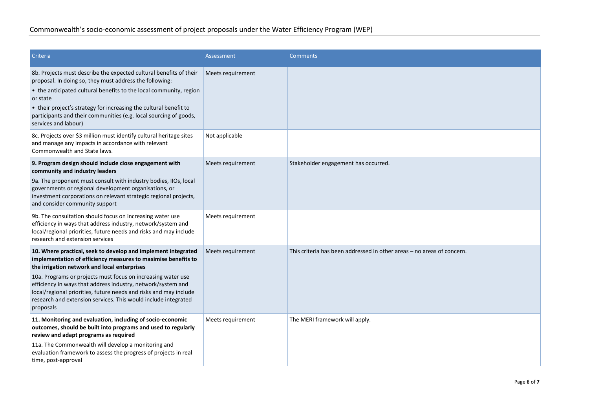| Criteria                                                                                                                                                                                                                                                                         | Assessment        | <b>Comments</b>                                                        |
|----------------------------------------------------------------------------------------------------------------------------------------------------------------------------------------------------------------------------------------------------------------------------------|-------------------|------------------------------------------------------------------------|
| 8b. Projects must describe the expected cultural benefits of their<br>proposal. In doing so, they must address the following:                                                                                                                                                    | Meets requirement |                                                                        |
| • the anticipated cultural benefits to the local community, region<br>or state                                                                                                                                                                                                   |                   |                                                                        |
| • their project's strategy for increasing the cultural benefit to<br>participants and their communities (e.g. local sourcing of goods,<br>services and labour)                                                                                                                   |                   |                                                                        |
| 8c. Projects over \$3 million must identify cultural heritage sites<br>and manage any impacts in accordance with relevant<br>Commonwealth and State laws.                                                                                                                        | Not applicable    |                                                                        |
| 9. Program design should include close engagement with<br>community and industry leaders                                                                                                                                                                                         | Meets requirement | Stakeholder engagement has occurred.                                   |
| 9a. The proponent must consult with industry bodies, IIOs, local<br>governments or regional development organisations, or<br>investment corporations on relevant strategic regional projects,<br>and consider community support                                                  |                   |                                                                        |
| 9b. The consultation should focus on increasing water use<br>efficiency in ways that address industry, network/system and<br>local/regional priorities, future needs and risks and may include<br>research and extension services                                                | Meets requirement |                                                                        |
| 10. Where practical, seek to develop and implement integrated<br>implementation of efficiency measures to maximise benefits to<br>the irrigation network and local enterprises                                                                                                   | Meets requirement | This criteria has been addressed in other areas – no areas of concern. |
| 10a. Programs or projects must focus on increasing water use<br>efficiency in ways that address industry, network/system and<br>local/regional priorities, future needs and risks and may include<br>research and extension services. This would include integrated<br>proposals |                   |                                                                        |
| 11. Monitoring and evaluation, including of socio-economic<br>outcomes, should be built into programs and used to regularly<br>review and adapt programs as required                                                                                                             | Meets requirement | The MERI framework will apply.                                         |
| 11a. The Commonwealth will develop a monitoring and<br>evaluation framework to assess the progress of projects in real<br>time, post-approval                                                                                                                                    |                   |                                                                        |